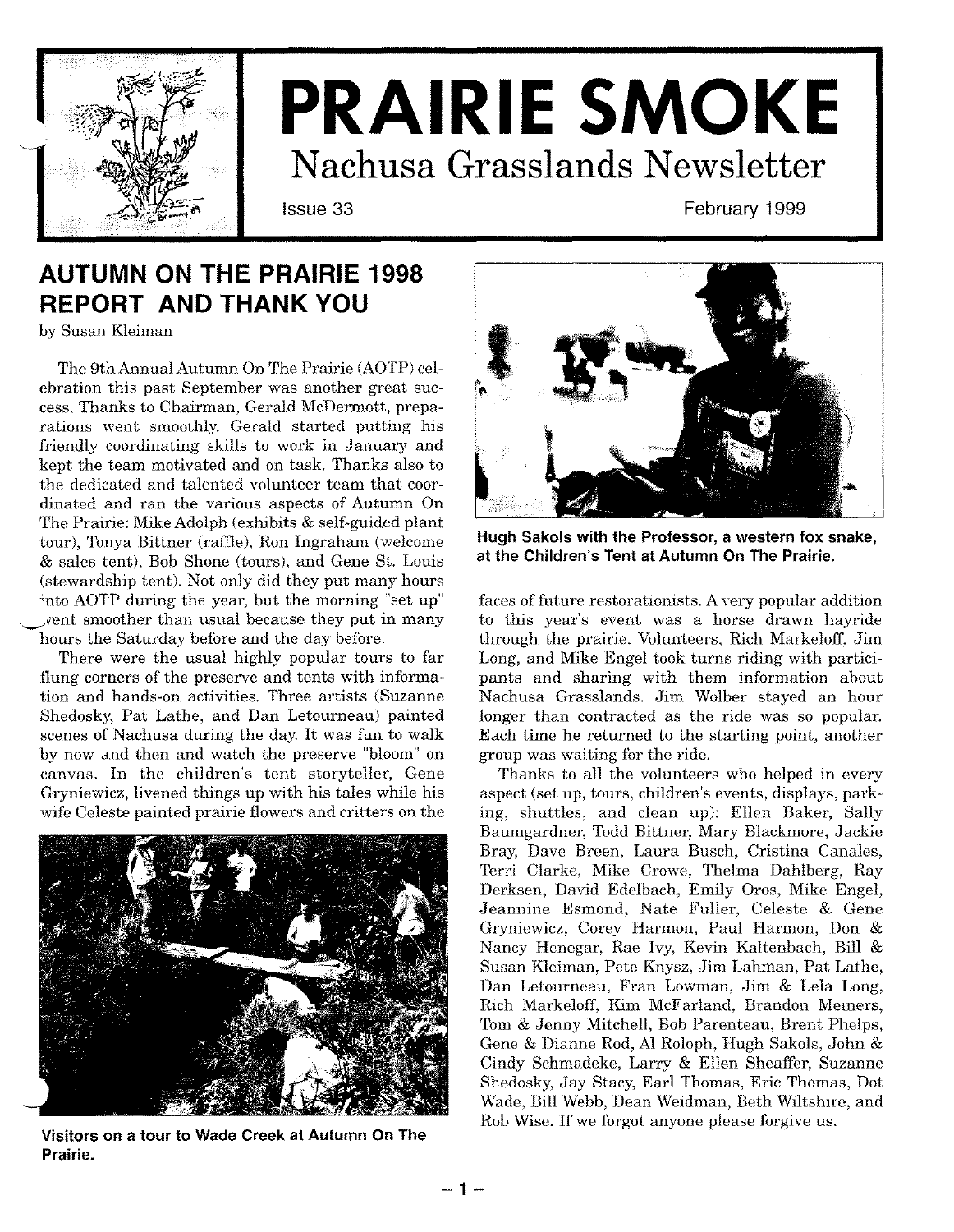

# **PRAIRIE SMOKE Nachusa Grasslands Newsletter**

Issue 33 February 1999

# **AUTUMN ON THE PRAIRIE 1998 REPORT AND THANK YOU**

by Susan Kleiman

The 9th Annual Autumn On The Prairie (AOTP) celebration this past September was another great success. Thanks to Chairman, Gerald McDermott, preparations went smoothly. Gerald started putting his friendly coordinating skills to work in January and kept the team motivated and on task. Thanks also to the dedicated and talented volunteer team that coordinated and ran the various aspects of Autumn On The Prairie: Mike Adolph (exhibits & self-guided plant tour), Tonya Bittner (raffle), Ron Ingraham (welcome & sales tent), Bob Shone (tours), and Gene St. Louis (stewardship tent). Not only did they put many hours ~ntoAOTP during the year, but the morning "set up" *~vent* smoother than usual because they put in many hours the Saturday before and the day before.

There were the usual highly popular tours to far flung corners of the preserve and tents with information and hands-on activities. Three artists (Suzanne Shedosky, Pat Lathe, and Dan Letourneau) painted scenes of Nachusa during the day. It was fun to walk by now and then and watch the preserve "bloom" on canvas. In the children's tent storyteller, Gene Gryniewicz, livened things up with his tales while his wife Celeste painted prairie flowers and critters on the



**Visitors on a tour to Wade Creek at Autumn On The Prairie.**



**Hugh Sakols with the Professor, a western fox snake, at the Children's Tent at Autumn On The Prairie.**

faces of future restorationists. Avery popular addition to this year's event was a horse drawn hayride through the prairie. Volunteers, Rich Markeloff, Jim Long, and Mike Engel took turns riding with participants and sharing with them information about Nachusa Grasslands. Jim Wolber stayed an hour longer than contracted as the ride was so popular. Each time he returned to the starting point, another group was waiting for the ride.

Thanks to all the volunteers who helped in every aspect (set up, tours, children's events, displays, parking, shuttles, and clean up): Ellen Baker, Sally Baumgardner, Todd Bittner, Mary Blackmore, Jackie Bray, Dave Breen, Laura Busch, Cristina Canales, Terri Clarke, Mike Crowe, Thelma Dahlberg, Ray Derksen, David Edelbach, Emily Oros, Mike Engel, Jeannine Esmond, Nate Fuller, Celeste & Gene Gryniewicz, Corey Harmon, Paul Harmon, Don & Nancy Henegar, Rae Ivy, Kevin Kaltenbach, Bill & Susan Kleiman, Pete Knysz, Jim Lahman, Pat Lathe, Dan Letourneau, Fran Lowman, Jim & Lela Long, Rich Markeloff, Kim McFarland, Brandon Meiners, Tom & Jenny Mitchell, Bob Parenteau, Brent Phelps, Gene & Dianne Rod, AI Roloph, Hugh Sakols, John & Cindy Schmadeke, Larry & Ellen Sheaffer, Suzanne Shedosky, Jay Stacy, Earl Thomas, Eric Thomas, Dot Wade, Bill Webb, Dean Weidman, Beth Wiltshire, and Rob Wise. If we forgot anyone please forgive us.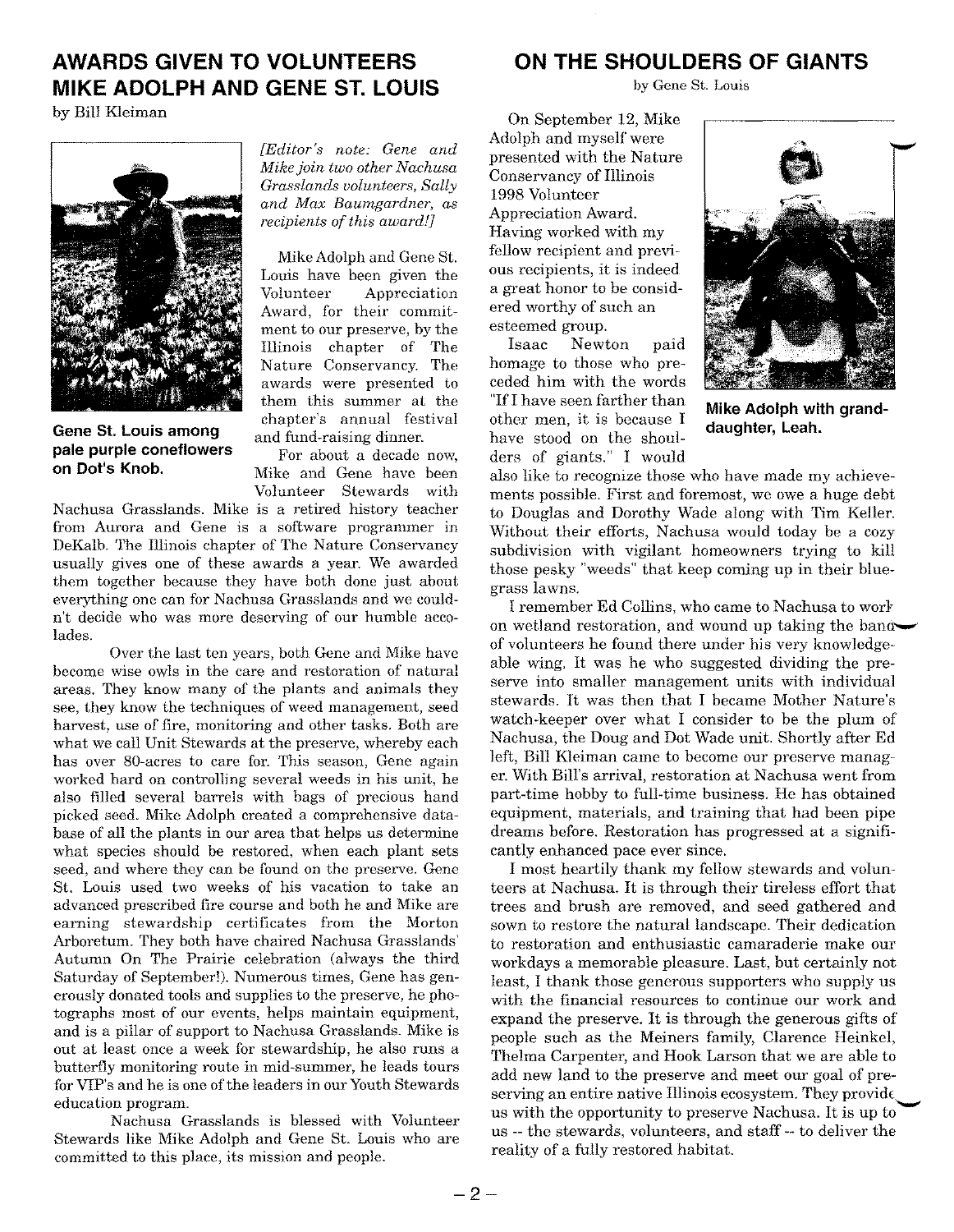### **AWARDS GIVEN TO VOLUNTEERS MIKE ADOLPH AND GENE ST. LOUIS**

by Bill Kleiman



**Gene St. Louis among pale purple coneflowers on Dot's Knob.**

*[Editor's note: Gene and Mikejoin two other Nachusa Grasslands volunteers, Sally and Max Baumgardner, as recipients of this award!]*

MikeAdolphand Gene St. Louis have been given the Volunteer Appreciation Award, for their commitment to our preserve, by the Illinois chapter of The Nature Conservancy. The awards were presented to them this summer at the chapter's annual festival and fund-raising dinner.

For about a decade now, Mike and Gene have been Volunteer Stewards with

Nachusa Grasslands. Mike is a retired history teacher from Aurora and Gene is a software programmer in DeKalb. The Illinois chapter of The Nature Conservancy usually gives one of these awards a year. We awarded them together because they have both done just about everything one can for Nachusa Grasslands and we couldn't decide who was more deserving of our humble accolades.

Over the last ten years, both Gene and Mike have become wise owls in the care and restoration of natural areas. They know many of the plants and animals they see, they know the techniques of weed management, seed harvest, use of fire, monitoring and other tasks. Both are what we call Unit Stewards at the preserve, whereby each has over 80-acres to care for. This season, Gene again worked hard on controlling several weeds in his unit, he also filled several barrels with bags of precious hand picked seed. Mike Adolph created a comprehensive database of all the plants in our area that helps us determine what species should be restored, when each plant sets seed, and where they can be found on the preserve. Gene St. Louis used two weeks of his vacation to take an advanced prescribed fire course and both he and Mike are earning stewardship certificates from the Morton Arboretum. They both have chaired Nachusa Grasslands' Autumn On The Prairie celebration (always the third Saturday of September!). Numerous times, Gene has generously donated tools and supplies to the preserve, he photographs most of our events, helps maintain equipment, and is a pillar of support to Nachusa Grasslands. Mike is out at least once a week for stewardship, he also runs a butterfly monitoring route in mid-summer, he leads tours for VIP's and he is one of the leaders in our Youth Stewards education program.

Nachusa Grasslands is blessed with Volunteer Stewards like Mike Adolph and Gene St. Louis who are committed to this place, its mission and people.

### **ON THE SHOULDERS OF GIANTS**

by Gene St. Louis

On September 12, Mike Adolph and myself were presented with the Nature Conservancy of Illinois 1998 Volunteer Appreciation Award. Having worked with my fellow recipient and previous recipients, it is indeed a great honor to be considered worthy of such an esteemed group.

Isaac Newton paid homage to those who preceded him with the words "IfI have seen farther than other men, it is because I have stood on the shoulders of giants." I would



**Mike Adolph with granddaughter, Leah.**

also like to recognize those who have made my achievements possible. First and foremost, we owe a huge debt to Douglas and Dorothy Wade along with Tim Keller. Without their efforts, Nachusa would today be a cozy subdivision with vigilant homeowners trying to kill those pesky "weeds" that keep coming up in their bluegrass lawns.

I remember Ed Collins, who came to Nachusa to work on wetland restoration, and wound up taking the bandof volunteers he found there under his very knowledgeable wing. It was he who suggested dividing the preserve into smaller management units with individual stewards. It was then that I became Mother Nature's watch-keeper over what I consider to be the plum of Nachusa, the Doug and Dot Wade unit. Shortly after Ed left, Bill Kleiman came to become our preserve manager. With Bill's arrival, restoration at Nachusa went from part-time hobby to full-time business. He has obtained equipment, materials, and training that had been pipe dreams before. Restoration has progressed at a significantly enhanced pace ever since.

I most heartily thank my fellow stewards and volunteers at Nachusa. It is through their tireless effort that trees and brush are removed, and seed gathered and sown to restore the natural landscape. Their dedication to restoration and enthusiastic camaraderie make our workdays a memorable pleasure. Last, but certainly not least, I thank those generous supporters who supply us with the financial resources to continue our work and expand the preserve. It is through the generous gifts of people such as the Meiners family, Clarence Heinkel, Thelma Carpenter, and Hook Larson that we are able to add new land to the preserve and meet our goal of preserving an entire native Illinois ecosystem. They provide us with the opportunity to preserve Nachusa. It is up to us --the stewards, volunteers, and staff -- to deliver the reality of a fully restored habitat.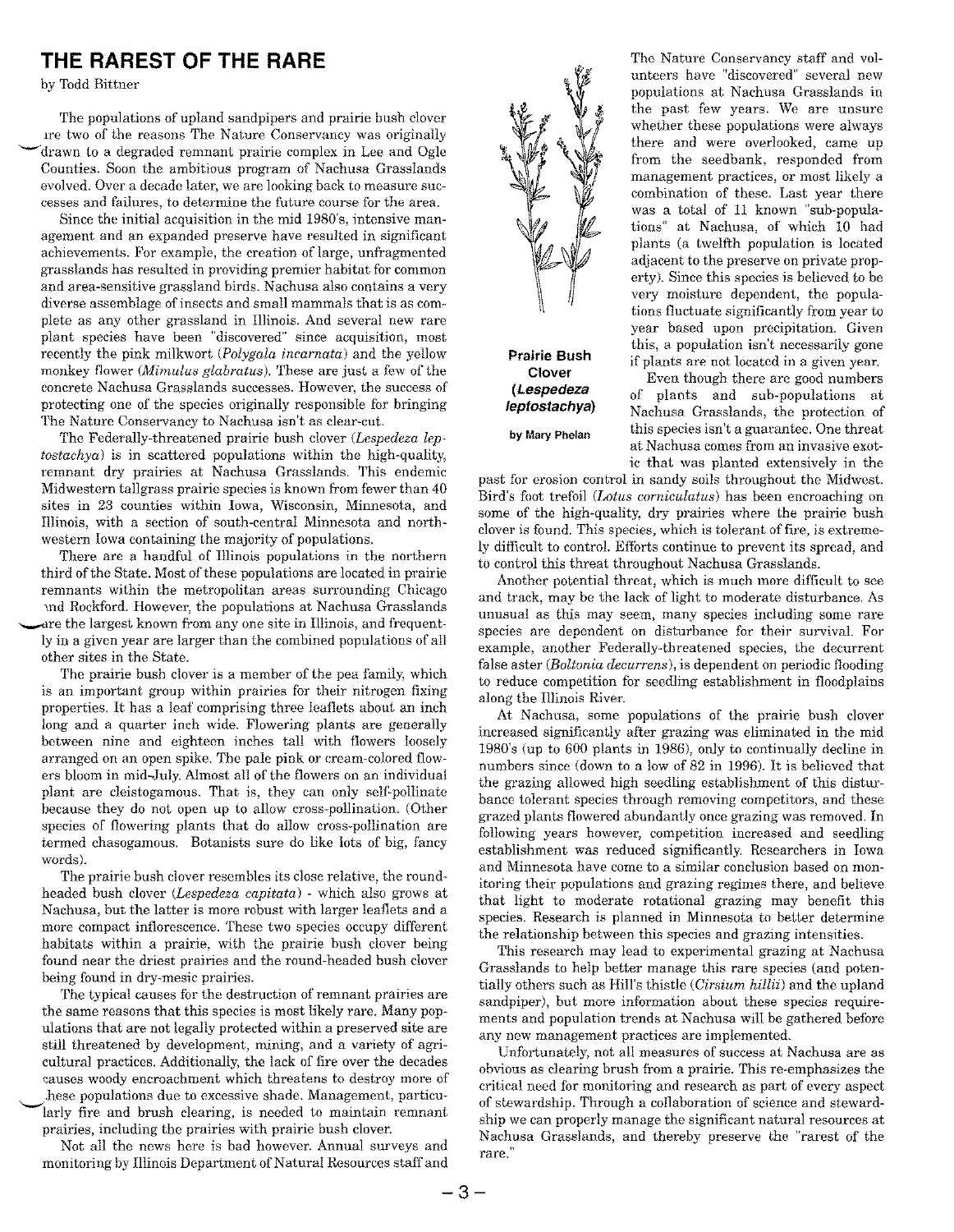### **THE RAREST OF THE RARE**

by Todd Bittner

The populations of upland sandpipers and prairie bush clover ire two of the reasons The Nature Conservancy was originally ~ drawn to a degraded remnant prairie complex in Lee and Ogle Counties. Soon the ambitious program of Nachusa Grasslands evolved. Over a decade later, we are looking back to measure successes and failures, to determine the future course for the area.

Since the initial acquisition in the mid 1980's, intensive management and an expanded preserve have resulted in significant achievements. For example, the creation of large, unfragmented grasslands has resulted in providing premier habitat for common and area-sensitive grassland birds. Nachusa also contams a very diverse assemblage of insects and small mammals that is as complete as any other grassland in Illinois. And several new rare plant species have been "discovered" since acquisition, most recently the pink milkwort *(Polygala incarnata)* and the yellow monkey flower *(Mimulus glabratus).* These are just a few of the concrete Nachusa Grasslands successes. However, the success of protecting one of the species originally responsible for bringing The Nature Conservancy to Nachusa isn't as clear-cut.

The Federally-threatened prairie bush clover *(Lespedeza leptostachya)* is in scattered populations within the high-quality, remnant dry prairies at Nachusa Grasslands. This endemic Midwestern tallgrass prairie species is known from fewer than 40 sites in 23 counties within Iowa, Wisconsin, Minnesota, and Illinois with a section of south-central Minnesota and northwestern Iowa containing the majority of populations.

There are a handful of Illinois populations in the northern third of the State. Most of these populations are located in prairie remnants within the metropolitan areas surrounding Chicago md Rockford.However, the populations at Nachusa Grasslands are the largest known from any one site in Illinois, and frequently in a given year are larger than the combined populations of all other sites in the State.

The prairie bush clover is a member of the pea family, which is an important group within prairies for their nitrogen fixing properties. It has a leaf comprising three leaflets about an inch long and a quarter inch wide. Flowering plants are generally between nine and eighteen inches tall with flowers loosely arranged on an open spike. The pale pink or cream-colored flowers bloom in mid-July. Almost all of the flowers on an individual plant are cleistogamous. That is, they can only self-pollinate because they do not open up to allow cross-pollination. (Other species of flowering plants that do allow cross-pollination are termed chasogamous. Botanists sure do like lots of big, fancy words).

The prairie bush clover resembles its close relative, the roundheaded bush clover *(Lespedeza capitata)* - which also grows at Nachusa, but the latter is more robust with larger leaflets and a more compact inflorescence. These two species occupy different habitats within a prairie, with the prairie bush clover being found near the driest prairies and the round-headed bush clover being found in dry-mesic prairies.

The typical causes for the destruction of remnant prairies are the same reasons that this species is most likely rare. Many populations that are not legally protected within a preserved site are still threatened by development, mining, and a variety of agricultural practices. Additionally, the lack of fire over the decades causes woody encroachment which threatens to destroy more of .hese populations due to excessive shade. Management, particu larly fire and brush clearing, is needed to maintain remnant prairies, including the prairies with prairie bush clover.

Not all the news here is bad however. Annual surveys and monitoring by Illinois Department of Natural Resources staff and



**Prairie Bush Clover** *(Lespedeza leptostachya)*

**by Mary Phelan**

The Nature Conservancy staff and volunteers have "discovered" several new populations at Nachusa Grasslands in the past few years. We are unsure whether these populations were always there and were overlooked, came up from the seedbank, responded from management practices, or most likely a combination of these. Last year there was a total of 11 known "sub-populations" at Nachusa, of which 10 had plants (a twelfth population is located adjacent to the preserve on private property). Since this species is believed to be very moisture dependent, the populations fluctuate significantly from year to year based upon precipitation. Given this, a population isn't necessarily gone if plants are not located in a given year.

Even though there are good numbers of plants and sub-populations at Nachusa Grasslands, the protection of this speciesisn't a guarantee. One threat at Nachusa comes from an invasive exotic that was planted extensively in the

past for erosion control in sandy soils throughout the Midwest. Bird's foot trefoil *(Lotus corniculatus)* has been encroaching on some of the high-quality, dry prairies where the prairie bush clover is found. This species, which is tolerant of fire, is extremely difficult to control. Efforts continue to prevent its spread, and to control this threat throughout Nachusa Grasslands.

Another potential threat, which is much more difficult to see and track, may be the lack of light to moderate disturbance. As unusual as this may seem, many species including some rare species are dependent on disturbance for their survival. For example, another Federally-threatened species, the decurrent false aster *(Boltonia decurrens),* is dependent on periodic flooding to reduce competition for seedling establishment in floodplains along the Illinois River.

At Nachusa, some populations of the prairie bush clover increased significantly after grazing was eliminated in the mid 1980's (up to 600 plants in 1986), only to continually decline in numbers since (down to a low of 82 in 1996). It is believed that the grazing allowed high seedling establishment of this disturbance tolerant species through removing competitors, and these grazed plants flowered abundantly once grazing was removed. In following years however, competition increased and seedling establishment was reduced significantly. Researchers in Iowa and Minnesota have come to a similar conclusion based on monitoring their populations and grazing regimes there, and believe that light to moderate rotational grazing may benefit this species. Research is planned in Minnesota to better determine the relationship between this species and grazing intensities.

This research may lead to experimental grazing at Nachusa Grasslands to help better manage this rare species (and potentially others such as Hill's thistle *(Cirsium hillii)* and the upland sandpiper), but more information about these species requirements and population trends at Nachusa will be gathered before any new management practices are implemented.

Unfortunately, not all measures of success at Nachusa are as obvious as clearing brush from a prairie. This re-emphasizes the critical need for monitoring and research as part of every aspect of stewardship. Through a collaboration of science and stewardship we can properly manage the significant natural resources at Nachusa Grasslands, and thereby preserve the "rarest of the rare."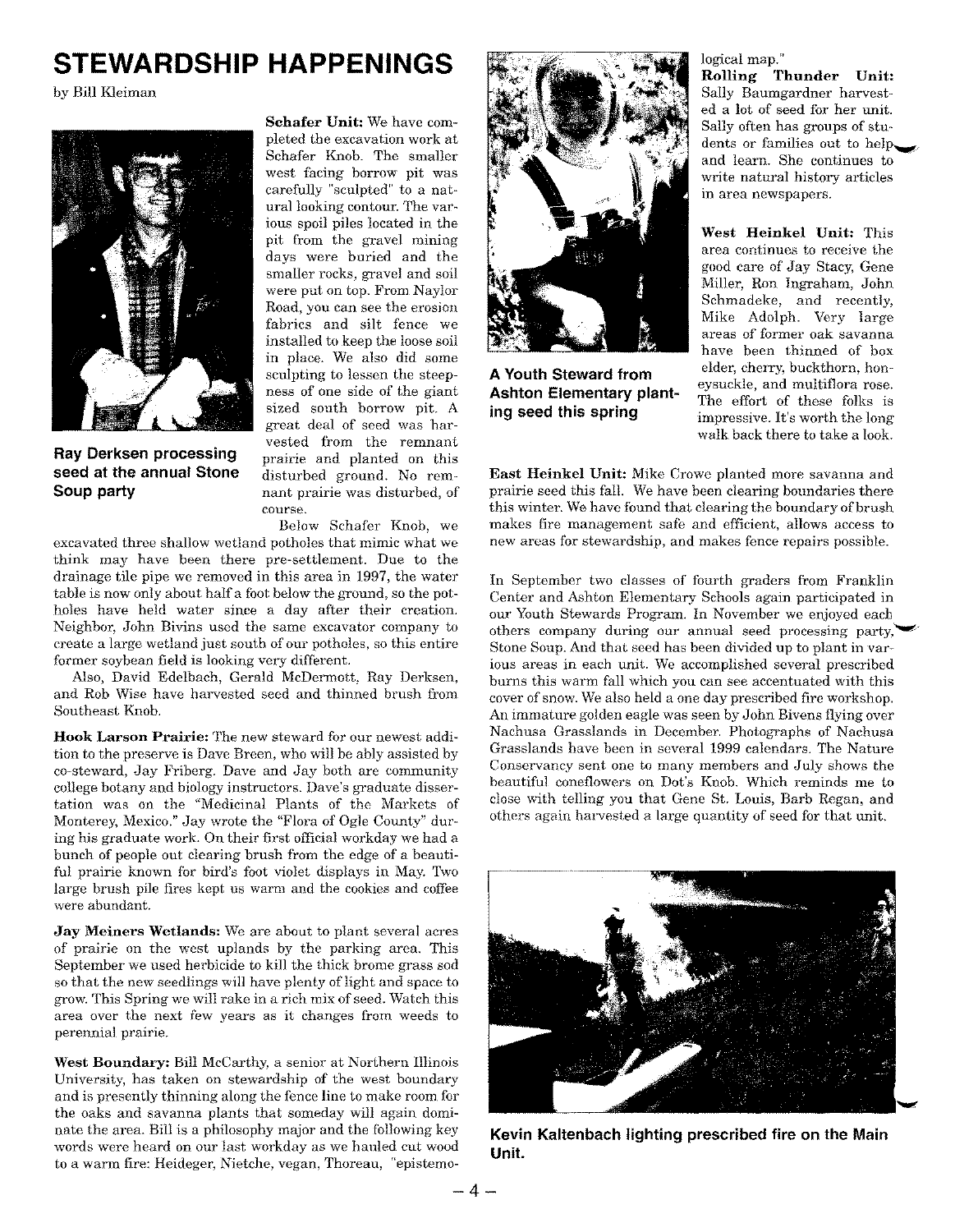# **STEWARDSHIP HAPPENINGS**

by Bill Kleiman



**Ray Derksen processing seed at the annual Stone Soup party**

Schafer Unit: We have completed the excavation work at Schafer Knob. The smaller west facing borrow pit was carefully "sculpted" to a natural looking contour. The various spoil piles located in the pit from the gravel mining days were buried and the smaller rocks, gravel and soil were put on top. From Naylor Road, you can see the erosion fabrics and silt fence we installed to keep the loose soil in place. We also did some sculpting to lessen the steepness of one side of the giant sized south borrow pit. A great deal of seed was harvested from the remnant prairie and planted on this disturbed ground. No remnant prairie was disturbed, of course.

Below Schafer Knob, we excavated three shallow wetland potholes that mimic what we think may have been there pre-settlement. Due to the drainage tile pipe we removed in this area in 1997, the water table is now only about half a foot below the ground, so the potholes have held water since a day after their creation. Neighbor, John Bivins used the same excavator company to create a large wetland just south of our potholes, so this entire former soybean field is looking very different.

Also, David Edelbach, Gerald McDermott, Ray Derksen, and Rob Wise have harvested seed and thinned brush from Southeast Knob.

Hook Larson Prairie: The new steward for our newest addition to the preserve is Dave Breen, who will be ably assisted by co-steward, Jay Friberg. Dave and Jay both are community college botany and biology instructors. Dave's graduate dissertation was on the "Medicinal Plants of the Markets of Monterey, Mexico."Jay wrote the "Flora of Ogle County" during his graduate work. On their first official workday we had a bunch of people out clearing brush from the edge of a beautiful prairie known for bird's foot violet displays in May. Two large brush pile fires kept us warm and the cookies and coffee were abundant.

Jay Meiners Wetlands: We are about to plant several acres of prairie on the west uplands by the parking area. This September we used herbicide to kill the thick brome grass sod so that the new seedlings will have plenty of light and space to grow.This Spring we will rake in a rich mix ofseed. Watch this area over the next few years as it changes from weeds to perennial prairie.

West Boundary: Bill McCarthy, a senior at Northern Illinois University, has taken on stewardship of the west boundary and is presently thinning along the fence line to make room for the oaks and savanna plants that someday will again dominate the area. Bill is a philosophy major and the following key words were heard on our last workday as we hauled cut wood to a warm fire: Heideger, Nietche, vegan, Thoreau, "epistemo-



**A Youth Steward from Ashton Elementary planting seed this spring**

#### logical map."

Rolling Thunder Unit: Sally Baumgardner harvested a lot of seed for her unit. Sally often has groups of students or families out to help. and learn. She continues to write natural history articles in area newspapers.

West Heinkel Unit: This area continues to receive the good care of Jay Stacy, Gene Miller, Ron Ingraham, John Schmadeke, and recently, Mike Adolph. Very large areas of former oak savanna have been thinned of box elder, cherry, buckthorn, honeysuckle, and multiflora rose. The effort of these folks is impressive. It's worth the long walk back there to take a look.

East Heinkel Unit: Mike Crowe planted more savanna and prairie seed this fall. We have been clearing boundaries there this winter. We have found that clearing the boundary of brush makes fire management safe and efficient, allows access to new areas for stewardship, and makes fence repairs possible.

In September two classes of fourth graders from Franklin Center and Ashton Elementary Schools again participated in our Youth Stewards Program. In November we enjoyed each others company during our annual seed processing party, Stone Soup. And that seed has been divided up to plant in various areas in each unit. We accomplished several prescribed burns this warm fall which you can see accentuated with this cover of snow. We also held a one day prescribed fire workshop. An immature golden eagle was seen by John Bivens flying over Nachusa Grasslands in December. Photographs of Nachusa Grasslands have been in several 1999 calendars. The Nature Conservancy sent one to many members and July shows the beautiful coneflowers on Dot's Knob. Which reminds me to close with telling you that Gene St. Louis, Barb Regan, and others again harvested a large quantity of seed for that unit.



**Kevin Kaltenbach lighting prescribed fire on the Main Unit.**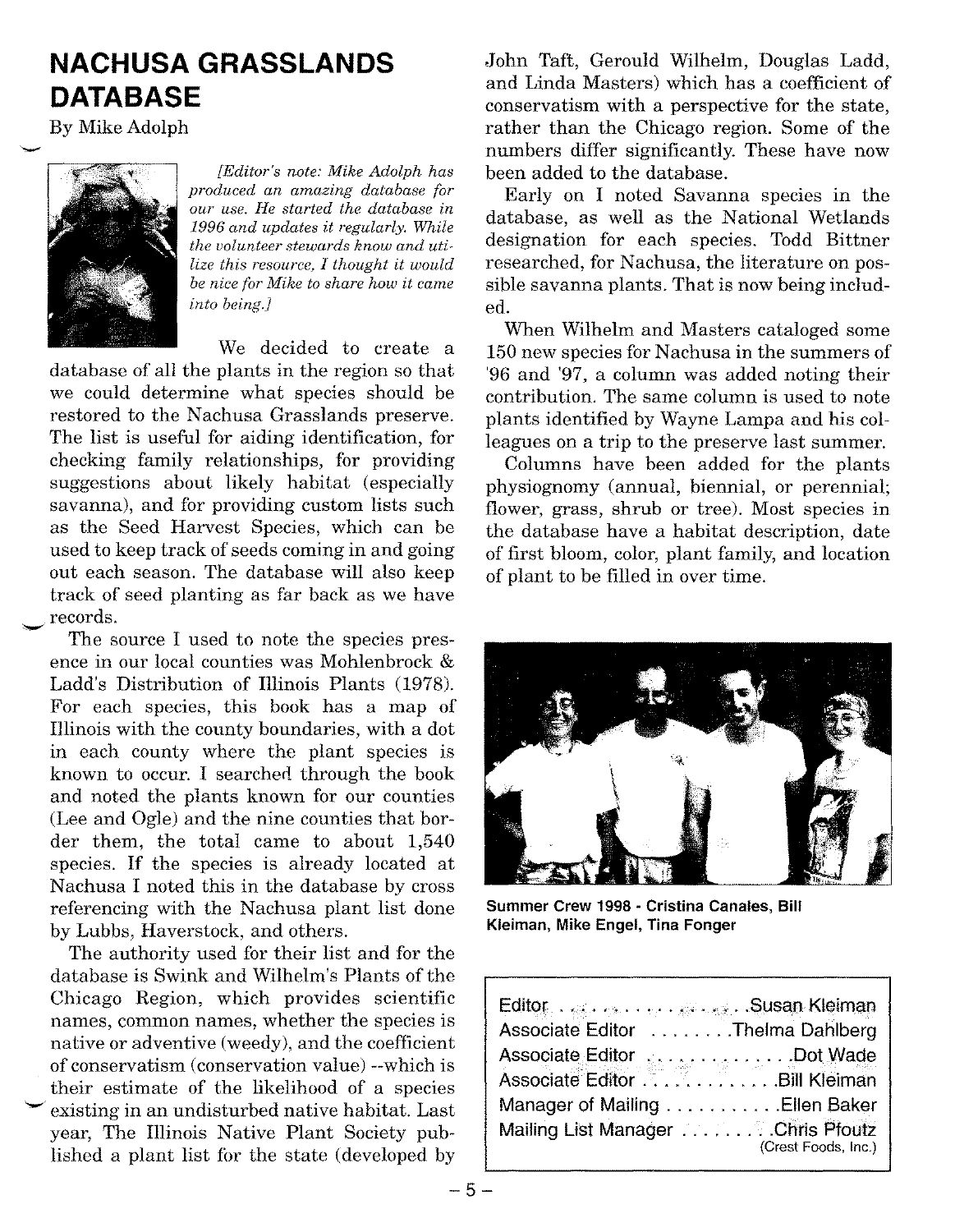# **NACHUSA GRASSLANDS DATABASE**

By Mike Adolph



*[Editor's note: Mike Adolph has produced an amazing database for our use. He started the database in 1996 and updates it regularly. While the volunteer stewards know and utilize this resource, I thought it would be nice for Mike to share how it came into being.]*

We decided to create a database of all the plants in the region so that we could determine what species should be restored to the Nachusa Grasslands preserve. The list is useful for aiding identification, for checking family relationships, for providing suggestions about likely habitat (especially savanna), and for providing custom lists such as the Seed Harvest Species, which can be used to keep track of seeds coming in and going out each season. The database will also keep track of seed planting as far back as we have records.

The source I used to note the species presence in our local counties was Mohlenbrock & Ladd's Distribution of Illinois Plants (1978). For each species, this book has a map of Illinois with the county boundaries, with a dot in each county where the plant species is known to occur. I searched through the book and noted the plants known for our counties (Lee and Ogle) and the nine counties that border them, the total came to about 1,540 species. If the species is already located at Nachusa I noted this in the database by cross referencing with the Nachusa plant list done by Lubbs, Haverstock, and others.

The authority used for their list and for the database is Swink and Wilhelm's Plants of the Chicago Region, which provides scientific names, common names, whether the species is native or adventive (weedy), and the coefficient of conservatism (conservation value) --which is their estimate of the likelihood of a species existing in an undisturbed native habitat. Last year, The Illinois Native Plant Society published a plant list for the state (developed by

John Taft, Gerould Wilhelm, Douglas Ladd, and Linda Masters) which has a coefficient of conservatism with a perspective for the state, rather than the Chicago region. Some of the numbers differ significantly. These have now been added to the database.

Early on I noted Savanna species in the database, as well as the National Wetlands designation for each species. Todd Bittner researched, for Nachusa, the literature on possible savanna plants. That is now being included.

When Wilhelm and Masters cataloged some 150 new species for Nachusa in the summers of '96 and '97, a column was added noting their contribution. The same column is used to note plants identified by Wayne Lampa and his colleagues on a trip to the preserve last summer.

Columns have been added for the plants physiognomy (annual, biennial, or perennial; flower, grass, shrub or tree). Most species in the database have a habitat description, date of first bloom, color, plant family, and location of plant to be filled in over time.



**Summer Crew 1998 - Cristina Canales, Bill Kleiman, Mike Engel, Tina Fonger**

| Editor Susan Kleiman                                                                                     |  |
|----------------------------------------------------------------------------------------------------------|--|
| Associate Editor Thelma Dahlberg                                                                         |  |
| Associate Editor<br>Associate Editor<br>Communication Associate Editor<br>Communication Associate Editor |  |
|                                                                                                          |  |
| Manager of Mailing Ellen Baker                                                                           |  |
| Mailing List Manager Chris Pfoutz<br>(Crest Foods, Inc.)                                                 |  |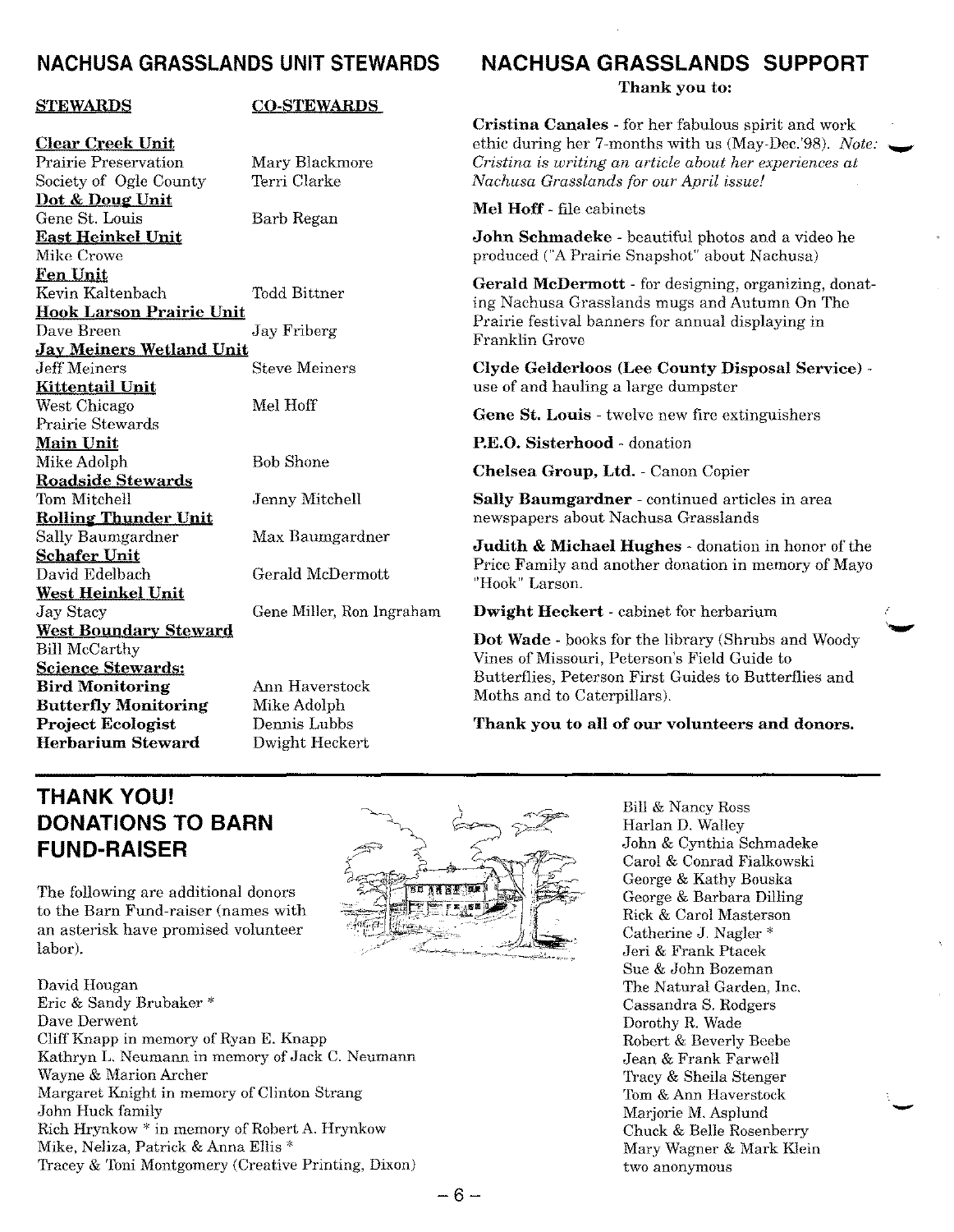### **NACHUSA GRASSLANDS UNIT STEWARDS**

#### **STEWARDS**

#### **CO-STEWARDS**

**Clear Creek Unit** Prairie Preservation Society of Ogle County **Dot & Doue' Unit** Gene St. Louis **East Heinkel Unit** Mike Crowe **Fen Unit** Kevin Kaltenbach **Hook Larson Prairie Unit** Dave Breen Jay Friberg **Jay Meiners Wetland Unit Kittentail Unit** West Chicago Prairie Stewards **Main Unit** Mike Adolph **Roadside Stewards** Tom Mitchell **Rolline' Thunder Unit** Sally Baumgardner **Schafer Unit** David Edelbach **West Heinkel Unit** Jay Stacy **West Boundary Steward** Bill McCarthy **Science Stewards: Bird Monitoring Butterfly Monitoring Project Ecologist Herbarium Steward**

Mary Blackmore Terri Clarke Barb Regan Todd Bittner Steve Meiners Mel Hoff Bob Shone Jenny Mitchell Max Baumgardner Gerald McDermott Gene Miller, Ron Ingraham Ann Haverstock

Mike Adolph Dennis Lubbs Dwight Heckert

# **NACHUSA GRASSLANDS SUPPORT**

**Thank you to:**

**Cristina Canales -** for her fabulous spirit and work ethic during her 7-months with us (May-Dec.'98). *Note: .~ Cristina is writing an article about her experiences at Nachusa Grasslands for our April issue!*

**Mel Hoff -** file cabinets

**John Schmadeke -** beautiful photos and a video he produced ("APrairie Snapshot" about Nachusa)

**Gerald McDermott -** for designing, organizing, donating Nachusa Grasslands mugs and Autumn On The Prairie festival banners for annual displaying in Franklin Grove

**Clyde Gelderloos (Lee County Disposal Service)**  use of and hauling a large dumpster

**Gene St. Louis -** twelve new fire extinguishers

**P.E.O. Sisterhood -** donation

**Chelsea Group, Ltd. -** Canon Copier

**Sally Baumgardner -** continued articles in area newspapers about Nachusa Grasslands

**Judith & Michael Hughes -** donation in honor of the Price Family and another donation in memory of Mayo "Hook" Larson.

**Dwight Heckert -** cabinet for herbarium

**Dot Wade -** books for the library (Shrubs and Woody Vines of Missouri, Peterson's Field Guide to Butterflies, Peterson First Guides to Butterflies and Moths and to Caterpillars).

**Thank you to all of our volunteers and donors.**

## **THANK YOU! DONATIONS TO BARN FUND-RAISER**

The following are additional donors to the Barn Fund-raiser (names with an asterisk have promised volunteer labor).

David Hougan Eric & Sandy Brubaker \* Dave Derwent Cliff Knapp in memory of Ryan E. Knapp Kathryn L. Neumann in memory of Jack C. Neumann Wayne & Marion Archer Margaret Knight in memory of Clinton Strang John Huck family Rich Hrynkow \* in memory of Robert A. Hrynkow Mike, Neliza, Patrick & Anna Ellis \* Tracey & Toni Montgomery (Creative Printing, Dixon)



Bill & Nancy Ross Harlan D. Walley John & Cynthia Schmadeke Carol & Conrad Fialkowski George & Kathy Bouska George & Barbara Dilling Rick & Carol Masterson Catherine J. Nagler \* Jeri & Frank Ptacek Sue & John Bozeman The Natural Garden, Inc. Cassandra S. Rodgers Dorothy R. Wade Robert & Beverly Beebe Jean & Frank Farwell Tracy & Sheila Stenger Tom& Ann Haverstock Marjorie M.Asplund Chuck & Belle Rosenberry Mary Wagner & Mark Klein two anonymous

-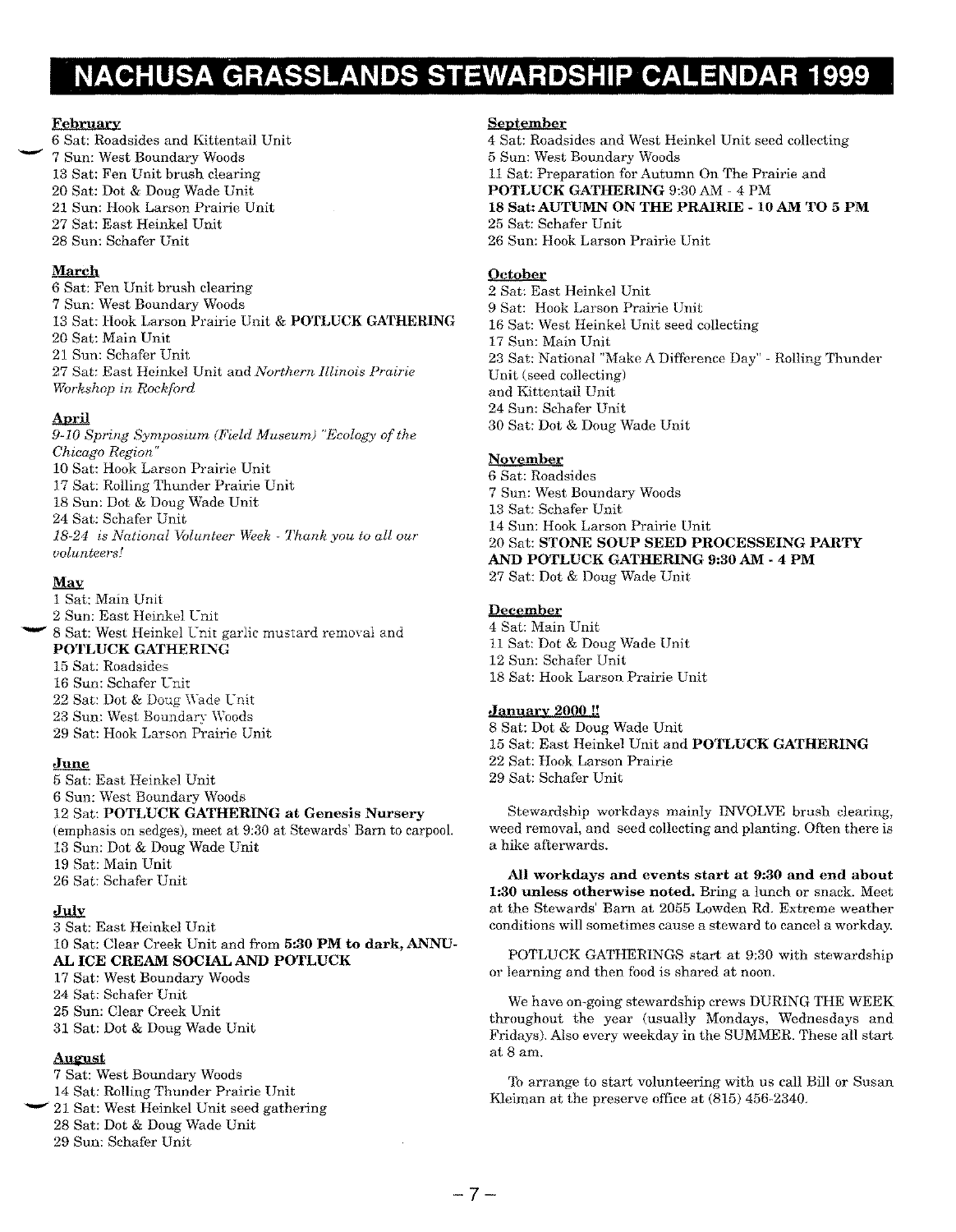# **NACHUSA GRASSLANDS STEWARDSHIP CALENDAR 1999**

#### **February**

-

 Sat: Roadsides and Kittentail Unit Sun: West Boundary Woods Sat: Fen Unit brush clearing Sat: Dot & Doug Wade Unit Sun: Hook Larson Prairie Unit Sat: East Heinkel Unit Sun: Schafer Unit

#### **March**

 Sat: Fen Unit brush clearing Sun: West Boundary Woods Sat: Hook Larson Prairie Unit & **POTLUCK GATHERING** Sat: Main Unit Sun: Schafer Unit Sat: East Heinkel Unit and *Northern Illinois Prairie Workshop in Rockford*

#### **April**

*9-10 Spring Symposium (Field Museum) "Ecology of the Chicago Region"* Sat: Hook Larson Prairie Unit Sat: Rolling Thunder Prairie Unit Sun: Dot & Doug Wade Unit Sat: Schafer Unit *18-24 is National Volunteer Week - Thank you to all our volunteers!*

#### **May**

 Sat: Main Unit Sun: East Heinkel Unit - 8 Sat: West Heinkel Lnit garlic mustard removal and **POTLUCK GATHERING**  Sat: Roadsides Sun: Schafer Lnit Sat: Dot & Doug Wade Unit Sun: West Boundary Woods Sat: Hook Larson Prairie Unit

#### **June**

 Sat: East Heinkel Unit Sun: West Boundary Woods Sat: **POTLUCK GATHERING at Genesis Nursery** (emphasis on sedges), meet at 9:30 at Stewards' Barn to carpool. Sun: Dot & Doug Wade Unit Sat: Main Unit Sat: Schafer Unit

#### **July**

 Sat: East Heinkel Unit Sat: Clear Creek Unit and from **5:30 PM to dark, ANNU-AL ICE CREAM SOCIAL AND POTLUCK** Sat: West Boundary Woods

 Sat: Schafer Unit Sun: Clear Creek Unit Sat: Dot & Doug Wade Unit

#### **August**

 Sat: West Boundary Woods Sat: Rolling Thunder Prairie Unit 21 Sat: West Heinkel Unit seed gathering Sat: Dot & Doug Wade Unit Sun: Schafer Unit

#### **September**

 Sat: Roadsides and West Heinkel Unit seed collecting Sun: West Boundary Woods Sat: Preparation for Autumn On The Prairie and **POTLUCK GATHERING** 9:30 AM - 4 PM **Sat: AUTUMN ON THE PRAIRIE - 10 AM TO 5 PM** Sat: Schafer Unit Sun: Hook Larson Prairie Unit

#### **October**

 Sat: East Heinkel Unit Sat: Hook Larson Prairie Unit Sat: West Heinkel Unit seed collecting Sun: Main Unit Sat: National "Make A Difference Day" - Rolling Thunder Unit (seed collecting) and Kittentail Unit Sun: Schafer Unit Sat: Dot & Doug Wade Unit

#### **November**

 Sat: Roadsides Sun: West Boundary Woods Sat: Schafer Unit Sun: Hook Larson Prairie Unit Sat: **STONE SOUP SEED PROCESSEING PARTY AND POTLUCK GATHERING 9:30 AM - 4 PM** Sat: Dot & Doug Wade Unit

#### **December**

 Sat: Main Unit Sat: Dot & Doug Wade Unit Sun: Schafer Unit Sat: Hook Larson Prairie Unit

#### **January 2000 II**

 Sat: Dot & Doug Wade Unit Sat: East Heinkel Unit and **POTLUCK GATHERING** Sat: Hook Larson Prairie Sat: Schafer Unit

Stewardship workdays mainly INVOLVE brush clearing, weed removal, and seed collecting and planting. Often there is a hike afterwards.

**All workdays and events start at 9:30 and end about 1:30 unless otherwise noted.** Bring a lunch or snack. Meet at the Stewards' Barn at 2055 Lowden Rd. Extreme weather conditions will sometimes cause a steward to cancel a workday.

POTLUCK GATHERINGS start at 9:30 with stewardship or learning and then food is shared at noon.

We have on-going stewardship crews DURING THE WEEK throughout the year (usually Mondays, Wednesdays and Fridays). Also every weekday in the SUMMER. These all start at 8 am.

To arrange to start volunteering with us call Bill or Susan Kleiman at the preserve office at (815) 456-2340.